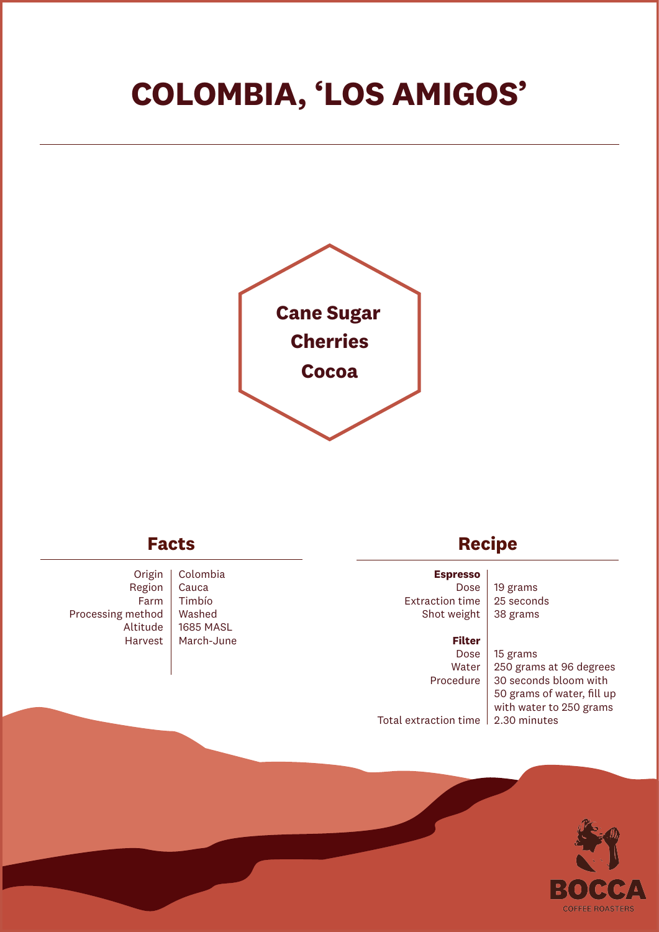# **COLOMBIA, 'LOS AMIGOS'**



## **Facts**

Origin Region Farm Processing method Altitude Harvest

Colombia Cauca Timbío Washed 1685 MASL March-June

# **Recipe**

**Espresso** Dose Extraction time Shot weight

19 grams 25 seconds 38 grams

#### **Filter**

Dose Water Procedure

15 grams 250 grams at 96 degrees 30 seconds bloom with 50 grams of water, fill up with water to 250 grams

Total extraction time 2.30 minutes